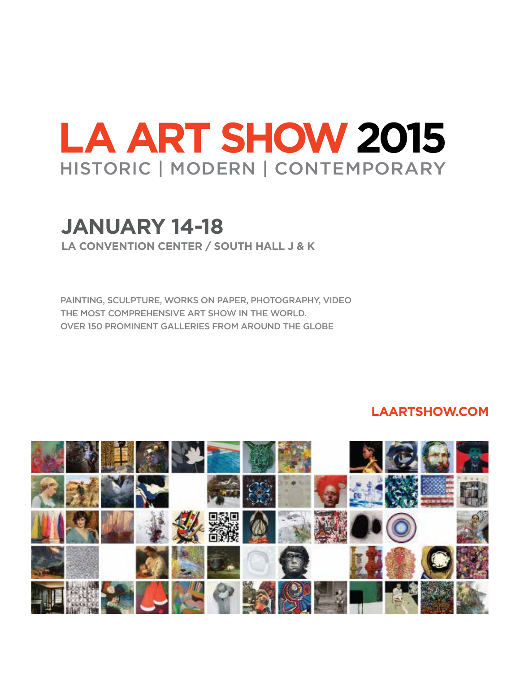# **LA ART SHOW2015** Historic | Modern | Contemporary

# **January 14-18**

**LA Convention Center / SOUTH HALL j & k** 

Painting, Sculpture, Works On Paper, Photography, Video the most COMPREHENSIVE art show in the world. Over 150 prominent Galleries from around the globe

### **LAARTSHOW.COM**

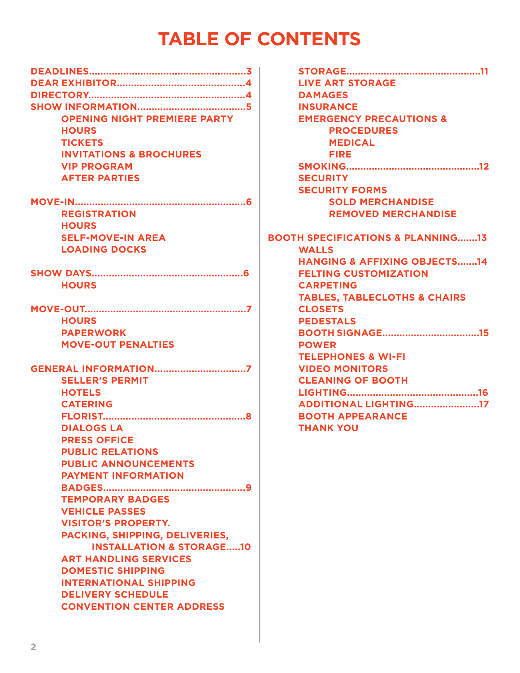# **TABLE OF CONTENTS**

| <b>OPENING NIGHT PREMIERE PARTY</b>      |  |
|------------------------------------------|--|
| <b>HOURS</b>                             |  |
| <b>TICKETS</b>                           |  |
| <b>INVITATIONS &amp; BROCHURES</b>       |  |
| <b>VIP PROGRAM</b>                       |  |
| <b>AFTER PARTIES</b>                     |  |
|                                          |  |
| <b>MOVE-IN</b>                           |  |
| <b>REGISTRATION</b>                      |  |
| <b>HOURS</b>                             |  |
| <b>SELF-MOVE-IN AREA</b>                 |  |
| <b>LOADING DOCKS</b>                     |  |
|                                          |  |
| <b>HOURS</b>                             |  |
|                                          |  |
|                                          |  |
| <b>HOURS</b>                             |  |
| <b>PAPERWORK</b>                         |  |
| <b>MOVE-OUT PENALTIES</b>                |  |
|                                          |  |
| <b>SELLER'S PERMIT</b>                   |  |
| <b>HOTELS</b>                            |  |
| <b>CATERING</b>                          |  |
|                                          |  |
|                                          |  |
| <b>DIALOGS LA</b><br><b>PRESS OFFICE</b> |  |
| <b>PUBLIC RELATIONS</b>                  |  |
|                                          |  |
| <b>PUBLIC ANNOUNCEMENTS</b>              |  |
| <b>PAYMENT INFORMATION</b>               |  |
|                                          |  |
| <b>TEMPORARY BADGES</b>                  |  |
| <b>VEHICLE PASSES</b>                    |  |
| <b>VISITOR'S PROPERTY.</b>               |  |
| PACKING, SHIPPING, DELIVERIES,           |  |
| <b>INSTALLATION &amp; STORAGE10</b>      |  |
| <b>ART HANDLING SERVICES</b>             |  |
| <b>DOMESTIC SHIPPING</b>                 |  |
| <b>INTERNATIONAL SHIPPING</b>            |  |
| <b>DELIVERY SCHEDULE</b>                 |  |
| <b>CONVENTION CENTER ADDRESS</b>         |  |

| <b>LIVE ART STORAGE</b>                                      |
|--------------------------------------------------------------|
| <b>DAMAGES</b>                                               |
| <b>INSURANCE</b>                                             |
| <b>EMERGENCY PRECAUTIONS &amp;</b>                           |
| <b>PROCEDURES</b>                                            |
| <b>MEDICAL</b>                                               |
| <b>FIRE</b>                                                  |
|                                                              |
| <b>SECURITY</b>                                              |
| <b>SECURITY FORMS</b>                                        |
| <b>SOLD MERCHANDISE</b>                                      |
| <b>REMOVED MERCHANDISE</b>                                   |
| <b>BOOTH SPECIFICATIONS &amp; PLANNING13</b><br><b>WALLS</b> |
| <b>HANGING &amp; AFFIXING OBJECTS14</b>                      |
| <b>FELTING CUSTOMIZATION</b>                                 |
| <b>CARPETING</b>                                             |
|                                                              |
| <b>TABLES, TABLECLOTHS &amp; CHAIRS</b><br><b>CLOSETS</b>    |
| <b>PEDESTALS</b>                                             |
|                                                              |
| <b>POWER</b>                                                 |
| <b>TELEPHONES &amp; WI-FI</b>                                |
| <b>VIDEO MONITORS</b>                                        |
| <b>CLEANING OF BOOTH</b>                                     |
|                                                              |
| <b>ADDITIONAL LIGHTING17</b>                                 |
| <b>BOOTH APPEARANCE</b>                                      |
|                                                              |
| <b>THANK YOU</b>                                             |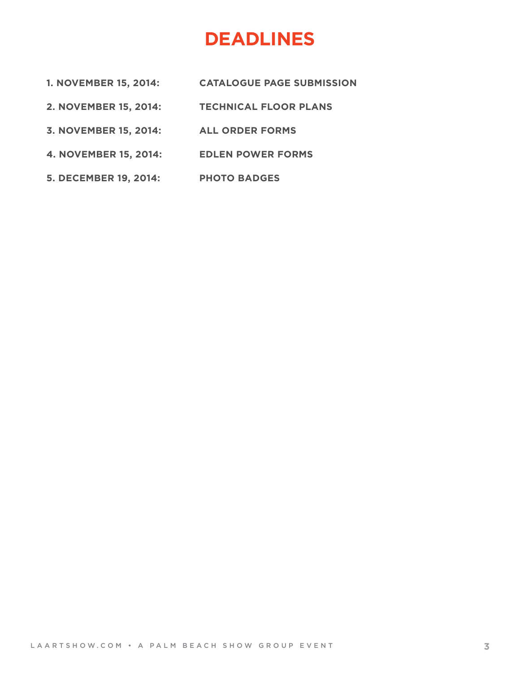# **DEADLINES**

- **1. NOVEMBER 15, 2014: CATALOGUE PAGE SUBMISSION**
- **2. NOVEMBER 15, 2014: TECHNICAL FLOOR PLANS**
- **3. NOVEMBER 15, 2014: ALL ORDER FORMS**
- **4. NOVEMBER 15, 2014: EDLEN POWER FORMS**
- **5. DECEMBER 19, 2014: PHOTO BADGES**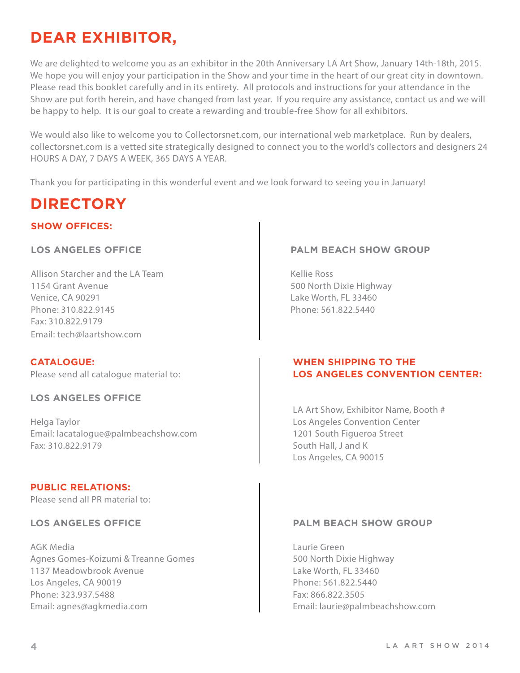# **Dear Exhibitor,**

We are delighted to welcome you as an exhibitor in the 20th Anniversary LA Art Show, January 14th-18th, 2015. We hope you will enjoy your participation in the Show and your time in the heart of our great city in downtown. Please read this booklet carefully and in its entirety. All protocols and instructions for your attendance in the Show are put forth herein, and have changed from last year. If you require any assistance, contact us and we will be happy to help. It is our goal to create a rewarding and trouble-free Show for all exhibitors.

We would also like to welcome you to Collectorsnet.com, our international web marketplace. Run by dealers, collectorsnet.com is a vetted site strategically designed to connect you to the world's collectors and designers 24 HOURS A DAY, 7 DAYS A WEEK, 365 DAYS A YEAR.

Thank you for participating in this wonderful event and we look forward to seeing you in January!

# **DIRECTORY**

#### **Show Offices:**

#### **Los Angeles Office**

Allison Starcher and the LA Team 1154 Grant Avenue Venice, CA 90291 Phone: 310.822.9145 Fax: 310.822.9179 Email: tech@laartshow.com

**Catalogue:** Please send all catalogue material to:

#### **los angeles office**

Helga Taylor Email: lacatalogue@palmbeachshow.com Fax: 310.822.9179

#### **PUBLIC RELATIONS:**

Please send all PR material to:

#### **Los angeles office**

AGK Media Agnes Gomes-Koizumi & Treanne Gomes 1137 Meadowbrook Avenue Los Angeles, CA 90019 Phone: 323.937.5488 Email: agnes@agkmedia.com

#### **Palm Beach Show Group**

Kellie Ross 500 North Dixie Highway Lake Worth, FL 33460 Phone: 561.822.5440

#### **WHEN SHIPPING TO THE LOS ANGELES CONVENTION CENTER:**

LA Art Show, Exhibitor Name, Booth # Los Angeles Convention Center 1201 South Figueroa Street South Hall, J and K Los Angeles, CA 90015

#### **Palm Beach Show Group**

Laurie Green 500 North Dixie Highway Lake Worth, FL 33460 Phone: 561.822.5440 Fax: 866.822.3505 Email: laurie@palmbeachshow.com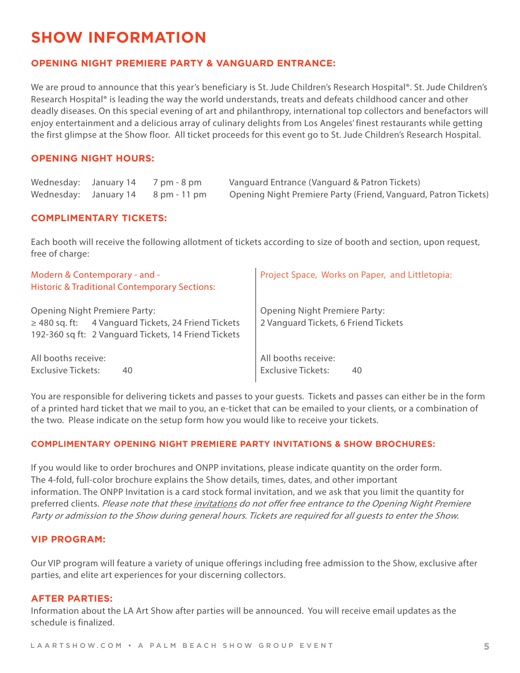## **Show INFORMATION**

#### **OPENING NIGHT PREMIERE PARTY & Vanguard Entrance:**

We are proud to announce that this year's beneficiary is St. Jude Children's Research Hospital®. St. Jude Children's Research Hospital® is leading the way the world understands, treats and defeats childhood cancer and other deadly diseases. On this special evening of art and philanthropy, international top collectors and benefactors will enjoy entertainment and a delicious array of culinary delights from Los Angeles' finest restaurants while getting the first glimpse at the Show floor. All ticket proceeds for this event go to St. Jude Children's Research Hospital.

#### **OPENING NIGHT HOURS:**

| Wednesday: January 14 7 pm - 8 pm  | Vanguard Entrance (Vanguard & Patron Tickets)                   |
|------------------------------------|-----------------------------------------------------------------|
| Wednesday: January 14 8 pm - 11 pm | Opening Night Premiere Party (Friend, Vanguard, Patron Tickets) |

#### **COMPLIMENTARY TICKETS:**

Each booth will receive the following allotment of tickets according to size of booth and section, upon request, free of charge:

| Modern & Contemporary - and -<br><b>Historic &amp; Traditional Contemporary Sections:</b>                                                                | Project Space, Works on Paper, and Littletopia:                              |
|----------------------------------------------------------------------------------------------------------------------------------------------------------|------------------------------------------------------------------------------|
| <b>Opening Night Premiere Party:</b><br>$\geq$ 480 sq. ft: 4 Vanguard Tickets, 24 Friend Tickets<br>192-360 sq ft: 2 Vanguard Tickets, 14 Friend Tickets | <b>Opening Night Premiere Party:</b><br>2 Vanguard Tickets, 6 Friend Tickets |
| All booths receive:<br><b>Exclusive Tickets:</b><br>40                                                                                                   | All booths receive:<br><b>Exclusive Tickets:</b><br>40                       |

You are responsible for delivering tickets and passes to your guests. Tickets and passes can either be in the form of a printed hard ticket that we mail to you, an e-ticket that can be emailed to your clients, or a combination of the two. Please indicate on the setup form how you would like to receive your tickets.

#### **COMPLIMENTARY OPENING NIGHT PREMIERE PARTY INVITATIONS & SHOW BROCHURES:**

If you would like to order brochures and ONPP invitations, please indicate quantity on the order form. The 4-fold, full-color brochure explains the Show details, times, dates, and other important information. The ONPP Invitation is a card stock formal invitation, and we ask that you limit the quantity for preferred clients. Please note that these invitations do not offer free entrance to the Opening Night Premiere Party or admission to the Show during general hours. Tickets are required for all guests to enter the Show.

#### **VIP PROGRAM:**

Our VIP program will feature a variety of unique offerings including free admission to the Show, exclusive after parties, and elite art experiences for your discerning collectors.

#### **AFTER PARTIES:**

Information about the LA Art Show after parties will be announced. You will receive email updates as the schedule is finalized.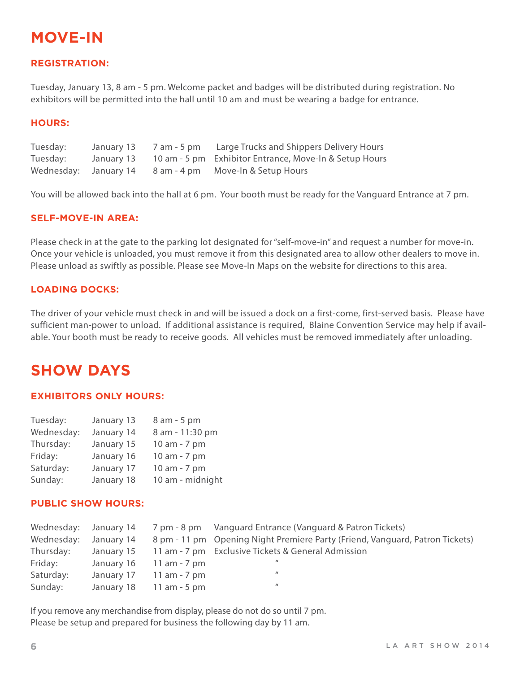# **MOVE-IN**

#### **REGISTRATION:**

Tuesday, January 13, 8 am - 5 pm. Welcome packet and badges will be distributed during registration. No exhibitors will be permitted into the hall until 10 am and must be wearing a badge for entrance.

#### **HOURS:**

| Tuesday: | January 13 | 7 am - 5 pm Large Trucks and Shippers Delivery Hours              |
|----------|------------|-------------------------------------------------------------------|
| Tuesday: |            | January 13 10 am - 5 pm Exhibitor Entrance, Move-In & Setup Hours |
|          |            | Wednesday: January 14 8 am - 4 pm Move-In & Setup Hours           |

You will be allowed back into the hall at 6 pm. Your booth must be ready for the Vanguard Entrance at 7 pm.

#### **SELF-MOVE-IN AREA:**

Please check in at the gate to the parking lot designated for "self-move-in" and request a number for move-in. Once your vehicle is unloaded, you must remove it from this designated area to allow other dealers to move in. Please unload as swiftly as possible. Please see Move-In Maps on the website for directions to this area.

#### **LOADING DOCKS:**

The driver of your vehicle must check in and will be issued a dock on a first-come, first-served basis. Please have sufficient man-power to unload. If additional assistance is required, Blaine Convention Service may help if available. Your booth must be ready to receive goods. All vehicles must be removed immediately after unloading.

### **Show DAYS**

#### **EXHIBITORS ONLY HOURS:**

| Tuesday:   | January 13 | 8 am - 5 pm      |
|------------|------------|------------------|
| Wednesday: | January 14 | 8 am - 11:30 pm  |
| Thursday:  | January 15 | 10 am - 7 pm     |
| Friday:    | January 16 | 10 am - 7 pm     |
| Saturday:  | January 17 | 10 am - 7 pm     |
| Sunday:    | January 18 | 10 am - midnight |

#### **PUBLIC Show HOURS:**

|            |                              | Wednesday: January 14 7 pm - 8 pm Vanguard Entrance (Vanguard & Patron Tickets)         |
|------------|------------------------------|-----------------------------------------------------------------------------------------|
| Wednesday: |                              | January 14 8 pm - 11 pm Opening Night Premiere Party (Friend, Vanguard, Patron Tickets) |
| Thursday:  |                              | January 15 11 am - 7 pm Exclusive Tickets & General Admission                           |
| Friday:    | January $16 \t 11$ am - 7 pm | $\mathbf{u}$                                                                            |
| Saturday:  | January 17 11 am - 7 pm      | $\prime$                                                                                |
| Sunday:    | January 18 11 am - 5 pm      | $\mathbf{u}$                                                                            |

If you remove any merchandise from display, please do not do so until 7 pm. Please be setup and prepared for business the following day by 11 am.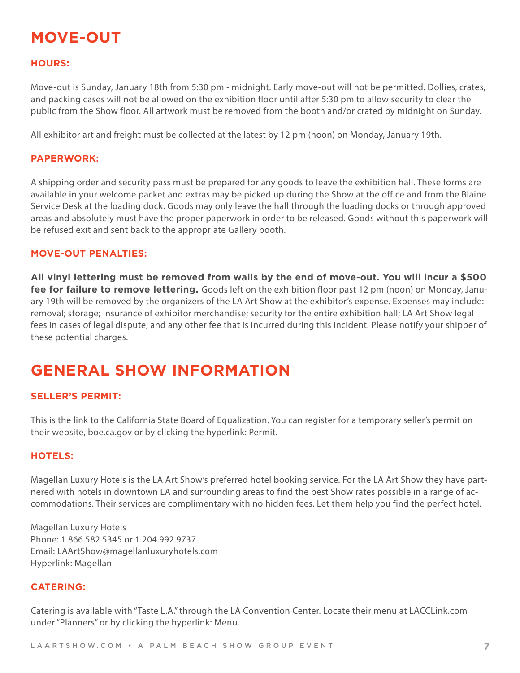## **MOVE-OUT**

#### **HOURS:**

Move-out is Sunday, January 18th from 5:30 pm - midnight. Early move-out will not be permitted. Dollies, crates, and packing cases will not be allowed on the exhibition floor until after 5:30 pm to allow security to clear the public from the Show floor. All artwork must be removed from the booth and/or crated by midnight on Sunday.

All exhibitor art and freight must be collected at the latest by 12 pm (noon) on Monday, January 19th.

#### **PAPERWORK:**

A shipping order and security pass must be prepared for any goods to leave the exhibition hall. These forms are available in your welcome packet and extras may be picked up during the Show at the office and from the Blaine Service Desk at the loading dock. Goods may only leave the hall through the loading docks or through approved areas and absolutely must have the proper paperwork in order to be released. Goods without this paperwork will be refused exit and sent back to the appropriate Gallery booth.

#### **MOVE-OUT PENALTIES:**

**All vinyl lettering must be removed from walls by the end of move-out. You will incur a \$500 fee for failure to remove lettering.** Goods left on the exhibition floor past 12 pm (noon) on Monday, January 19th will be removed by the organizers of the LA Art Show at the exhibitor's expense. Expenses may include: removal; storage; insurance of exhibitor merchandise; security for the entire exhibition hall; LA Art Show legal fees in cases of legal dispute; and any other fee that is incurred during this incident. Please notify your shipper of these potential charges.

### **GENERAL SHOW INFORMATION**

#### **SELLER'S PERMIT:**

This is the link to the California State Board of Equalization. You can register for a temporary seller's permit on their website, boe.ca.gov or by clicking the hyperlink: Permit.

#### **HOTELS:**

Magellan Luxury Hotels is the LA Art Show's preferred hotel booking service. For the LA Art Show they have partnered with hotels in downtown LA and surrounding areas to find the best Show rates possible in a range of accommodations. Their services are complimentary with no hidden fees. Let them help you find the perfect hotel.

Magellan Luxury Hotels Phone: 1.866.582.5345 or 1.204.992.9737 Email: LAArtShow@magellanluxuryhotels.com Hyperlink: Magellan

#### **CATERING:**

Catering is available with "Taste L.A." through the LA Convention Center. Locate their menu at LACCLink.com under "Planners" or by clicking the hyperlink: Menu.

LAARTSHOW.COM • A PALM BEACH SHOW GROUP EVENT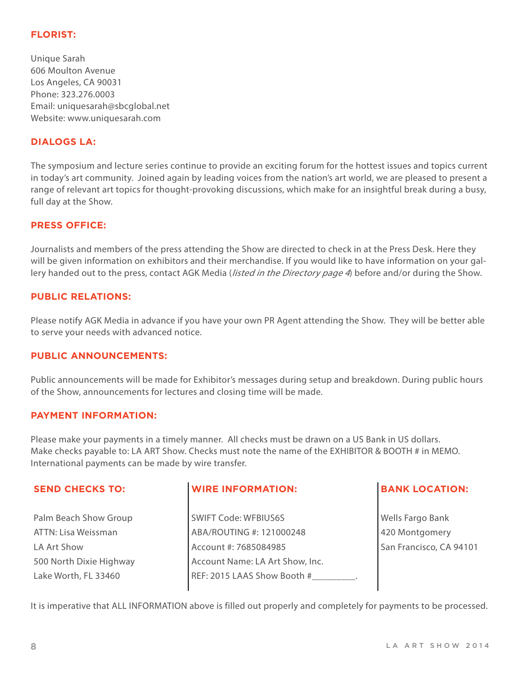#### **FLORIST:**

Unique Sarah 606 Moulton Avenue Los Angeles, CA 90031 Phone: 323.276.0003 Email: uniquesarah@sbcglobal.net Website: www.uniquesarah.com

#### **DIALOGS LA:**

The symposium and lecture series continue to provide an exciting forum for the hottest issues and topics current in today's art community. Joined again by leading voices from the nation's art world, we are pleased to present a range of relevant art topics for thought-provoking discussions, which make for an insightful break during a busy, full day at the Show.

#### **PRESS OFFICE:**

Journalists and members of the press attending the Show are directed to check in at the Press Desk. Here they will be given information on exhibitors and their merchandise. If you would like to have information on your gallery handed out to the press, contact AGK Media (*listed in the Directory page 4*) before and/or during the Show.

#### **PUBLIC RELATIONS:**

Please notify AGK Media in advance if you have your own PR Agent attending the Show. They will be better able to serve your needs with advanced notice.

#### **PUBLIC ANNOUNCEMENTS:**

Public announcements will be made for Exhibitor's messages during setup and breakdown. During public hours of the Show, announcements for lectures and closing time will be made.

#### **PAYMENT INFORMATION:**

Please make your payments in a timely manner. All checks must be drawn on a US Bank in US dollars. Make checks payable to: LA ART Show. Checks must note the name of the EXHIBITOR & BOOTH # in MEMO. International payments can be made by wire transfer.

| <b>SEND CHECKS TO:</b>  | <b>WIRE INFORMATION:</b>        | <b>BANK LOCATION:</b>   |
|-------------------------|---------------------------------|-------------------------|
| Palm Beach Show Group   | <b>SWIFT Code: WFBIUS6S</b>     | Wells Fargo Bank        |
| ATTN: Lisa Weissman     | ABA/ROUTING #: 121000248        | 420 Montgomery          |
| LA Art Show             | Account #: 7685084985           | San Francisco, CA 94101 |
| 500 North Dixie Highway | Account Name: LA Art Show, Inc. |                         |
| Lake Worth, FL 33460    | REF: 2015 LAAS Show Booth #     |                         |
|                         |                                 |                         |

It is imperative that ALL INFORMATION above is filled out properly and completely for payments to be processed.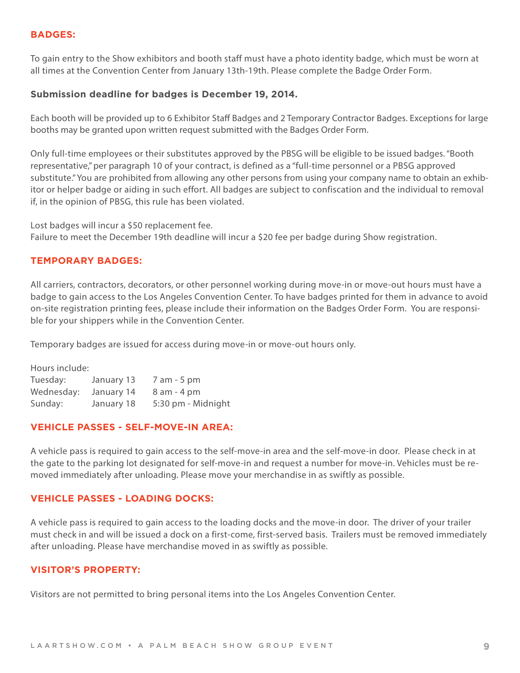#### **BADGES:**

To gain entry to the Show exhibitors and booth staff must have a photo identity badge, which must be worn at all times at the Convention Center from January 13th-19th. Please complete the Badge Order Form.

#### **Submission deadline for badges is December 19, 2014.**

Each booth will be provided up to 6 Exhibitor Staff Badges and 2 Temporary Contractor Badges. Exceptions for large booths may be granted upon written request submitted with the Badges Order Form.

Only full-time employees or their substitutes approved by the PBSG will be eligible to be issued badges. "Booth representative," per paragraph 10 of your contract, is defined as a "full-time personnel or a PBSG approved substitute." You are prohibited from allowing any other persons from using your company name to obtain an exhibitor or helper badge or aiding in such effort. All badges are subject to confiscation and the individual to removal if, in the opinion of PBSG, this rule has been violated.

Lost badges will incur a \$50 replacement fee. Failure to meet the December 19th deadline will incur a \$20 fee per badge during Show registration.

#### **TEMPORARY BADGES:**

All carriers, contractors, decorators, or other personnel working during move-in or move-out hours must have a badge to gain access to the Los Angeles Convention Center. To have badges printed for them in advance to avoid on-site registration printing fees, please include their information on the Badges Order Form. You are responsible for your shippers while in the Convention Center.

Temporary badges are issued for access during move-in or move-out hours only.

Hours include:

| Tuesday:   | January 13 | 7 am - 5 pm        |
|------------|------------|--------------------|
| Wednesday: | January 14 | $8$ am $-$ 4 pm    |
| Sunday:    | January 18 | 5:30 pm - Midnight |

#### **VEHICLE PASSES - SELF-MOVE-IN AREA:**

A vehicle pass is required to gain access to the self-move-in area and the self-move-in door. Please check in at the gate to the parking lot designated for self-move-in and request a number for move-in. Vehicles must be removed immediately after unloading. Please move your merchandise in as swiftly as possible.

#### **VEHICLE PASSES - LOADING DOCKS:**

A vehicle pass is required to gain access to the loading docks and the move-in door. The driver of your trailer must check in and will be issued a dock on a first-come, first-served basis. Trailers must be removed immediately after unloading. Please have merchandise moved in as swiftly as possible.

#### **VISITOR'S PROPERTY:**

Visitors are not permitted to bring personal items into the Los Angeles Convention Center.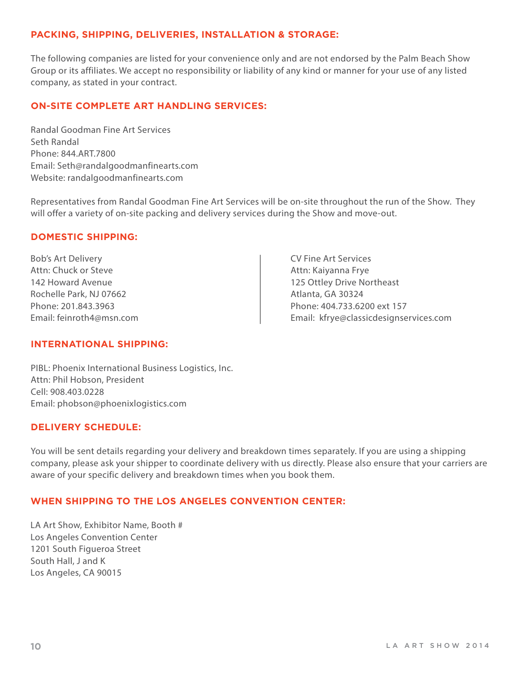#### **PACKING, SHIPPING, DELIVERIES, INSTALLATION & STORAGE:**

The following companies are listed for your convenience only and are not endorsed by the Palm Beach Show Group or its affiliates. We accept no responsibility or liability of any kind or manner for your use of any listed company, as stated in your contract.

#### **ON-SITE COMPLETE ART HANDLING SERVICES:**

Randal Goodman Fine Art Services Seth Randal Phone: 844.ART.7800 Email: Seth@randalgoodmanfinearts.com Website: randalgoodmanfinearts.com

Representatives from Randal Goodman Fine Art Services will be on-site throughout the run of the Show. They will offer a variety of on-site packing and delivery services during the Show and move-out.

#### **DOMESTIC SHIPPING:**

Bob's Art Delivery Attn: Chuck or Steve 142 Howard Avenue Rochelle Park, NJ 07662 Phone: 201.843.3963 Email: feinroth4@msn.com

CV Fine Art Services Attn: Kaiyanna Frye 125 Ottley Drive Northeast Atlanta, GA 30324 Phone: 404.733.6200 ext 157 Email: kfrye@classicdesignservices.com

#### **INTERNATIONAL SHIPPING:**

PIBL: Phoenix International Business Logistics, Inc. Attn: Phil Hobson, President Cell: 908.403.0228 Email: phobson@phoenixlogistics.com

#### **DELIVERY SCHEDULE:**

You will be sent details regarding your delivery and breakdown times separately. If you are using a shipping company, please ask your shipper to coordinate delivery with us directly. Please also ensure that your carriers are aware of your specific delivery and breakdown times when you book them.

#### **WHEN SHIPPING TO THE LOS ANGELES CONVENTION CENTER:**

LA Art Show, Exhibitor Name, Booth # Los Angeles Convention Center 1201 South Figueroa Street South Hall, J and K Los Angeles, CA 90015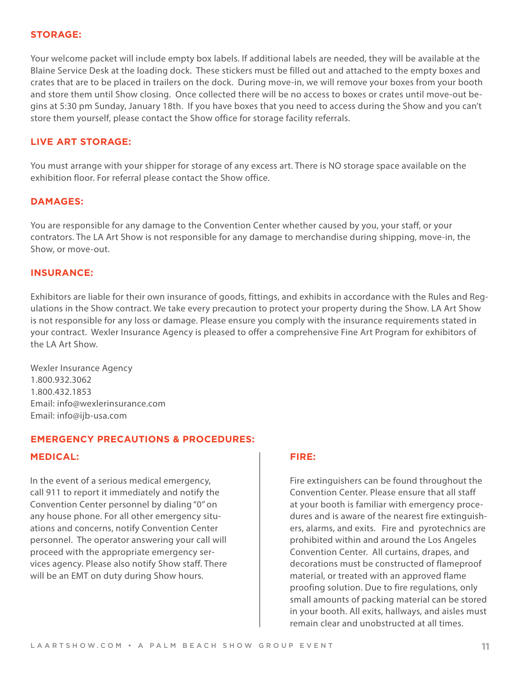#### **STORAGE:**

Your welcome packet will include empty box labels. If additional labels are needed, they will be available at the Blaine Service Desk at the loading dock. These stickers must be filled out and attached to the empty boxes and crates that are to be placed in trailers on the dock. During move-in, we will remove your boxes from your booth and store them until Show closing. Once collected there will be no access to boxes or crates until move-out begins at 5:30 pm Sunday, January 18th. If you have boxes that you need to access during the Show and you can't store them yourself, please contact the Show office for storage facility referrals.

#### **LIVE ART STORAGE:**

You must arrange with your shipper for storage of any excess art. There is NO storage space available on the exhibition floor. For referral please contact the Show office.

#### **DAMAGES:**

You are responsible for any damage to the Convention Center whether caused by you, your staff, or your contrators. The LA Art Show is not responsible for any damage to merchandise during shipping, move-in, the Show, or move-out.

#### **INSURANCE:**

Exhibitors are liable for their own insurance of goods, fittings, and exhibits in accordance with the Rules and Regulations in the Show contract. We take every precaution to protect your property during the Show. LA Art Show is not responsible for any loss or damage. Please ensure you comply with the insurance requirements stated in your contract. Wexler Insurance Agency is pleased to offer a comprehensive Fine Art Program for exhibitors of the LA Art Show.

Wexler Insurance Agency 1.800.932.3062 1.800.432.1853 Email: info@wexlerinsurance.com Email: info@ijb-usa.com

#### **EMERGENCY PRECAUTIONS & PROCEDURES:**

#### **MEDICAL:**

In the event of a serious medical emergency, call 911 to report it immediately and notify the Convention Center personnel by dialing "0" on any house phone. For all other emergency situations and concerns, notify Convention Center personnel. The operator answering your call will proceed with the appropriate emergency services agency. Please also notify Show staff. There will be an EMT on duty during Show hours.

#### **FIRE:**

Fire extinguishers can be found throughout the Convention Center. Please ensure that all staff at your booth is familiar with emergency procedures and is aware of the nearest fire extinguishers, alarms, and exits.Fire and pyrotechnics are prohibited within and around the Los Angeles Convention Center. All curtains, drapes, and decorations must be constructed of flameproof material, or treated with an approved flame proofing solution. Due to fire regulations, only small amounts of packing material can be stored in your booth. All exits, hallways, and aisles must remain clear and unobstructed at all times.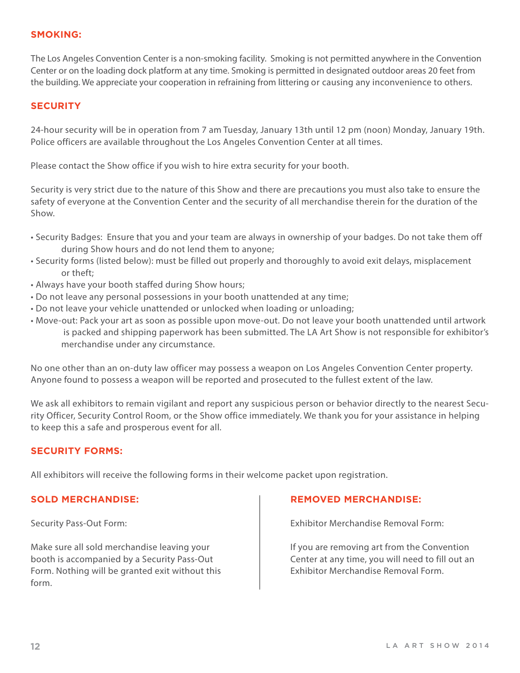#### **SMOKING:**

The Los Angeles Convention Center is a non-smoking facility. Smoking is not permitted anywhere in the Convention Center or on the loading dock platform at any time. Smoking is permitted in designated outdoor areas 20 feet from the building. We appreciate your cooperation in refraining from littering or causing any inconvenience to others.

#### **SECURITY**

24-hour security will be in operation from 7 am Tuesday, January 13th until 12 pm (noon) Monday, January 19th. Police officers are available throughout the Los Angeles Convention Center at all times.

Please contact the Show office if you wish to hire extra security for your booth.

Security is very strict due to the nature of this Show and there are precautions you must also take to ensure the safety of everyone at the Convention Center and the security of all merchandise therein for the duration of the Show.

- Security Badges: Ensure that you and your team are always in ownership of your badges. Do not take them off during Show hours and do not lend them to anyone;
- Security forms (listed below): must be filled out properly and thoroughly to avoid exit delays, misplacement or theft;
- Always have your booth staffed during Show hours;
- Do not leave any personal possessions in your booth unattended at any time;
- Do not leave your vehicle unattended or unlocked when loading or unloading;
- Move-out: Pack your art as soon as possible upon move-out. Do not leave your booth unattended until artwork is packed and shipping paperwork has been submitted. The LA Art Show is not responsible for exhibitor's merchandise under any circumstance.

No one other than an on-duty law officer may possess a weapon on Los Angeles Convention Center property. Anyone found to possess a weapon will be reported and prosecuted to the fullest extent of the law.

We ask all exhibitors to remain vigilant and report any suspicious person or behavior directly to the nearest Security Officer, Security Control Room, or the Show office immediately. We thank you for your assistance in helping to keep this a safe and prosperous event for all.

#### **SECURITY FORMS:**

All exhibitors will receive the following forms in their welcome packet upon registration.

#### **SOLD MERCHANDISE:**

Security Pass-Out Form:

Make sure all sold merchandise leaving your booth is accompanied by a Security Pass-Out Form. Nothing will be granted exit without this form.

#### **REMOVED MERCHANDISE:**

Exhibitor Merchandise Removal Form:

If you are removing art from the Convention Center at any time, you will need to fill out an Exhibitor Merchandise Removal Form.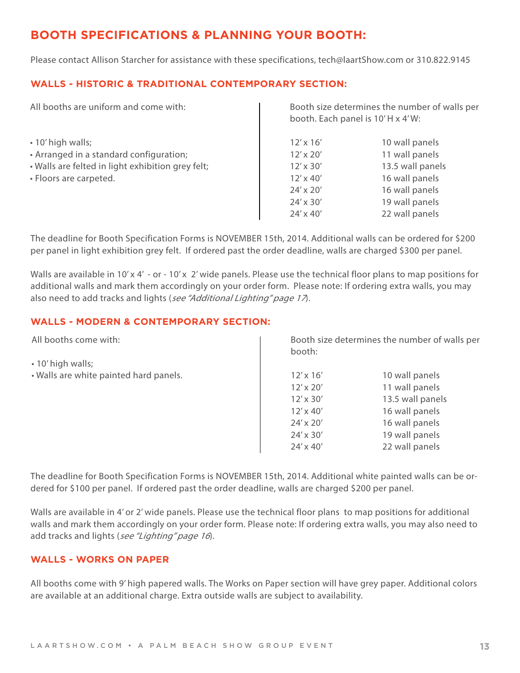#### **BOOTH SPECIFICATIONS & PLANNING YOUR BOOTH:**

Please contact Allison Starcher for assistance with these specifications, tech@laartShow.com or 310.822.9145

#### **WALLS - HISTORIC & TRADITIONAL CONTEMPORARY SECTION:**

| All booths are uniform and come with:             | Booth size determines the number of walls per<br>booth. Each panel is 10'H x 4'W: |                  |
|---------------------------------------------------|-----------------------------------------------------------------------------------|------------------|
| • 10' high walls;                                 | $12' \times 16'$                                                                  | 10 wall panels   |
| • Arranged in a standard configuration;           | $12' \times 20'$                                                                  | 11 wall panels   |
| . Walls are felted in light exhibition grey felt; | $12' \times 30'$                                                                  | 13.5 wall panels |
| • Floors are carpeted.                            | $12' \times 40'$                                                                  | 16 wall panels   |
|                                                   | 24' x 20'                                                                         | 16 wall panels   |
|                                                   | 24' x 30'                                                                         | 19 wall panels   |
|                                                   | $24' \times 40'$                                                                  | 22 wall panels   |

The deadline for Booth Specification Forms is NOVEMBER 15th, 2014. Additional walls can be ordered for \$200 per panel in light exhibition grey felt. If ordered past the order deadline, walls are charged \$300 per panel.

Walls are available in 10' x 4' - or - 10' x 2' wide panels. Please use the technical floor plans to map positions for additional walls and mark them accordingly on your order form. Please note: If ordering extra walls, you may also need to add tracks and lights (see "Additional Lighting" page 17).

#### **WALLS - MODERN & CONTEMPORARY SECTION:**

| All booths come with:                  | booth:           | Booth size determines the number of walls per |
|----------------------------------------|------------------|-----------------------------------------------|
| $\cdot$ 10' high walls;                |                  |                                               |
| . Walls are white painted hard panels. | $12' \times 16'$ | 10 wall panels                                |
|                                        | $12' \times 20'$ | 11 wall panels                                |
|                                        | $12' \times 30'$ | 13.5 wall panels                              |
|                                        | $12' \times 40'$ | 16 wall panels                                |
|                                        | $24' \times 20'$ | 16 wall panels                                |
|                                        | 24' x 30'        | 19 wall panels                                |
|                                        | 24' x 40'        | 22 wall panels                                |

The deadline for Booth Specification Forms is NOVEMBER 15th, 2014. Additional white painted walls can be ordered for \$100 per panel. If ordered past the order deadline, walls are charged \$200 per panel.

Walls are available in 4' or 2' wide panels. Please use the technical floor plans to map positions for additional walls and mark them accordingly on your order form. Please note: If ordering extra walls, you may also need to add tracks and lights (see "Lighting" page 16).

#### **WALLS - WORKS ON PAPER**

All booths come with 9' high papered walls. The Works on Paper section will have grey paper. Additional colors are available at an additional charge. Extra outside walls are subject to availability.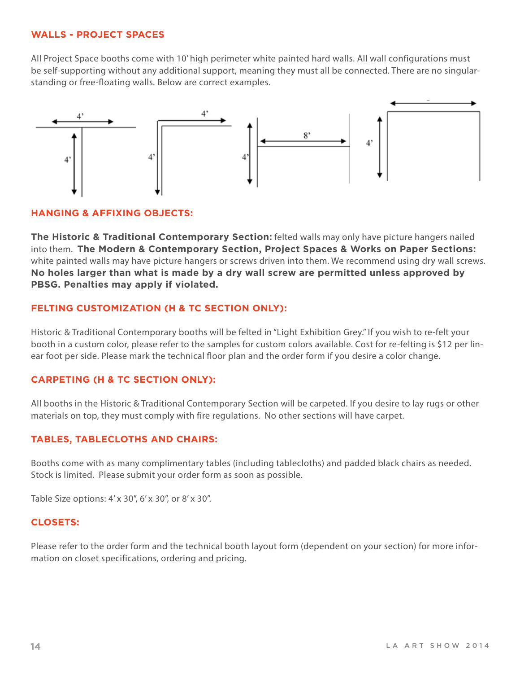#### **WALLS - PROJECT SPACES**

All Project Space booths come with 10' high perimeter white painted hard walls. All wall configurations must be self-supporting without any additional support, meaning they must all be connected. There are no singularstanding or free-floating walls. Below are correct examples.



#### **HANGING & AFFIXING OBJECTS:**

**The Historic & Traditional Contemporary Section:** felted walls may only have picture hangers nailed into them. **The Modern & Contemporary Section, Project Spaces & Works on Paper Sections:** white painted walls may have picture hangers or screws driven into them. We recommend using dry wall screws. **No holes larger than what is made by a dry wall screw are permitted unless approved by PBSG. Penalties may apply if violated.** 

#### **FELTING CUSTOMIZATION (H & TC SECTION ONLY):**

Historic & Traditional Contemporary booths will be felted in "Light Exhibition Grey." If you wish to re-felt your booth in a custom color, please refer to the samples for custom colors available. Cost for re-felting is \$12 per linear foot per side. Please mark the technical floor plan and the order form if you desire a color change.

#### **CARPETING (H & TC SECTION ONLY):**

All booths in the Historic & Traditional Contemporary Section will be carpeted. If you desire to lay rugs or other materials on top, they must comply with fire regulations. No other sections will have carpet.

#### **TABLES, TABLECLOTHS AND CHAIRS:**

Booths come with as many complimentary tables (including tablecloths) and padded black chairs as needed. Stock is limited. Please submit your order form as soon as possible.

Table Size options: 4' x 30", 6' x 30", or 8' x 30".

#### **CLOSETS:**

Please refer to the order form and the technical booth layout form (dependent on your section) for more information on closet specifications, ordering and pricing.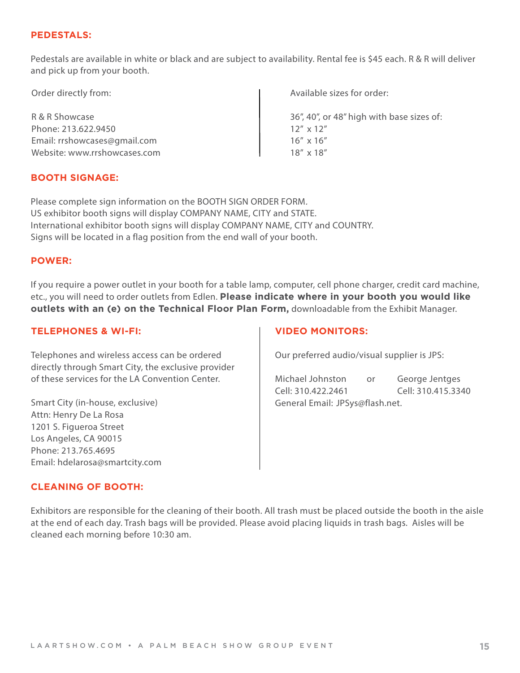#### **PEDESTALS:**

Pedestals are available in white or black and are subject to availability. Rental fee is \$45 each. R & R will deliver and pick up from your booth.

| Order directly from:         | Available sizes for order:                |
|------------------------------|-------------------------------------------|
| R & R Showcase               | 36", 40", or 48" high with base sizes of: |
| Phone: 213.622.9450          | $12''$ x $12''$                           |
| Email: rrshowcases@gmail.com | $16'' \times 16''$                        |
| Website: www.rrshowcases.com | $18'' \times 18''$                        |

#### **BOOTH SIGNAGE:**

Please complete sign information on the BOOTH SIGN ORDER FORM. US exhibitor booth signs will display COMPANY NAME, CITY and STATE. International exhibitor booth signs will display COMPANY NAME, CITY and COUNTRY. Signs will be located in a flag position from the end wall of your booth.

#### **POWER:**

If you require a power outlet in your booth for a table lamp, computer, cell phone charger, credit card machine, etc., you will need to order outlets from Edlen. **Please indicate where in your booth you would like outlets with an (e) on the Technical Floor Plan Form,** downloadable from the Exhibit Manager.

#### **TELEPHONES & WI-FI:**

Telephones and wireless access can be ordered directly through Smart City, the exclusive provider of these services for the LA Convention Center.

Smart City (in-house, exclusive) Attn: Henry De La Rosa 1201 S. Figueroa Street Los Angeles, CA 90015 Phone: 213.765.4695 Email: hdelarosa@smartcity.com

#### **VIDEO MONITORS:**

Our preferred audio/visual supplier is JPS:

Michael Johnston or George Jentges Cell: 310.422.2461 Cell: 310.415.3340 General Email: JPSys@flash.net.

#### **CLEANING OF BOOTH:**

Exhibitors are responsible for the cleaning of their booth. All trash must be placed outside the booth in the aisle at the end of each day. Trash bags will be provided. Please avoid placing liquids in trash bags. Aisles will be cleaned each morning before 10:30 am.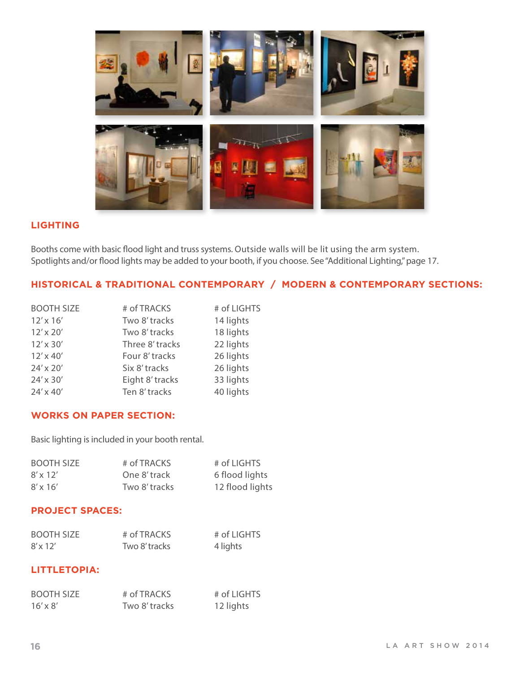

#### **LIGHTING**

Booths come with basic flood light and truss systems. Outside walls will be lit using the arm system. Spotlights and/or flood lights may be added to your booth, if you choose. See "Additional Lighting," page 17.

#### **HISTORICAL & TRADITIONAL CONTEMPORARY / MODERN & CONTEMPORARY SECTIONS:**

| <b>BOOTH SIZE</b> | # of TRACKS     | # of LIGHTS |
|-------------------|-----------------|-------------|
| $12' \times 16'$  | Two 8' tracks   | 14 lights   |
| $12' \times 20'$  | Two 8' tracks   | 18 lights   |
| $12' \times 30'$  | Three 8' tracks | 22 lights   |
| $12' \times 40'$  | Four 8' tracks  | 26 lights   |
| 24' x 20'         | Six 8' tracks   | 26 lights   |
| 24' x 30'         | Eight 8' tracks | 33 lights   |
| 24' x 40'         | Ten 8' tracks   | 40 lights   |

#### **WORKS ON PAPER SECTION:**

Basic lighting is included in your booth rental.

| <b>BOOTH SIZE</b> | # of TRACKS   | # of LIGHTS     |
|-------------------|---------------|-----------------|
| $8' \times 12'$   | One 8' track  | 6 flood lights  |
| $8' \times 16'$   | Two 8' tracks | 12 flood lights |

#### **PROJECT SPACES:**

| <b>BOOTH SIZE</b> | # of TRACKS   | # of LIGHTS |
|-------------------|---------------|-------------|
| $8' \times 12'$   | Two 8' tracks | 4 lights    |

#### **LITTLETOPIA:**

| <b>BOOTH SIZE</b> | # of TRACKS   | # of LIGHTS |
|-------------------|---------------|-------------|
| $16' \times 8'$   | Two 8' tracks | 12 lights   |